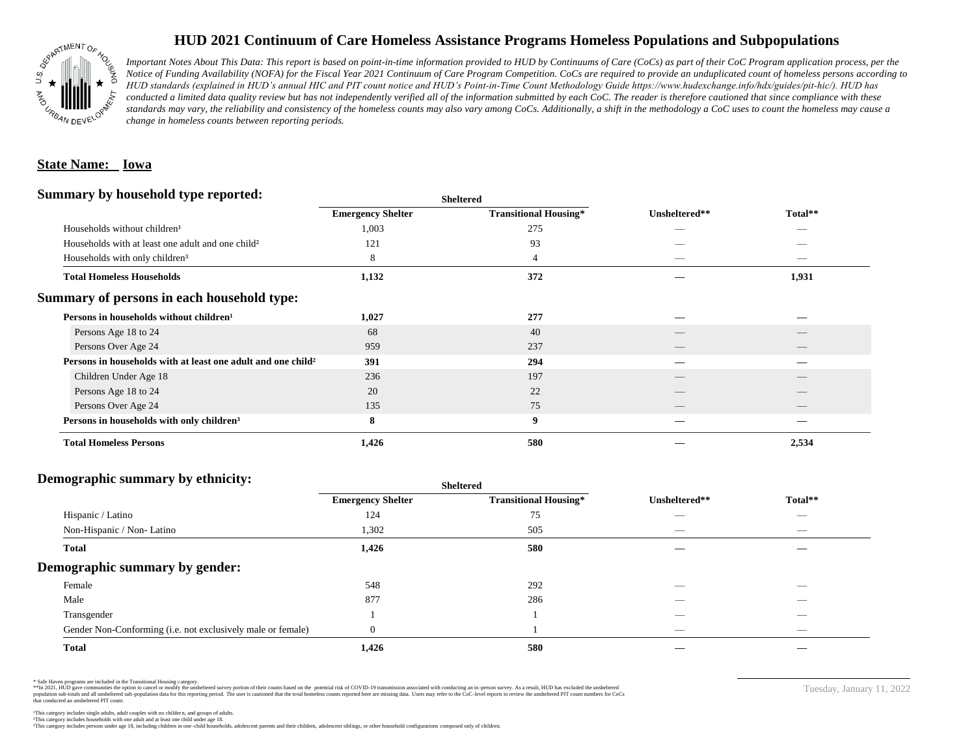

# **HUD 2021 Continuum of Care Homeless Assistance Programs Homeless Populations and Subpopulations**

*Important Notes About This Data: This report is based on point-in-time information provided to HUD by Continuums of Care (CoCs) as part of their CoC Program application process, per the Notice of Funding Availability (NOFA) for the Fiscal Year 2021 Continuum of Care Program Competition. CoCs are required to provide an unduplicated count of homeless persons according to HUD standards (explained in HUD's annual HIC and PIT count notice and HUD's Point-in-Time Count Methodology Guide https://www.hudexchange.info/hdx/guides/pit-hic/). HUD has*  conducted a limited data quality review but has not independently verified all of the information submitted by each CoC. The reader is therefore cautioned that since compliance with these standards may vary, the reliability and consistency of the homeless counts may also vary among CoCs. Additionally, a shift in the methodology a CoC uses to count the homeless may cause a *change in homeless counts between reporting periods.*

### **State Name: Iowa**

#### **Summary by household type reported:**

| эшппагу бу поизеною туре герогіест.                           |                          | <b>Sheltered</b>             |                          |                                 |  |
|---------------------------------------------------------------|--------------------------|------------------------------|--------------------------|---------------------------------|--|
|                                                               | <b>Emergency Shelter</b> | <b>Transitional Housing*</b> | Unsheltered**            | Total**                         |  |
| Households without children <sup>1</sup>                      | 1,003                    | 275                          |                          |                                 |  |
| Households with at least one adult and one child <sup>2</sup> | 121                      | 93                           |                          |                                 |  |
| Households with only children <sup>3</sup>                    | 8                        | $\overline{4}$               | $\hspace{0.05cm}$        | $\hspace{0.1mm}-\hspace{0.1mm}$ |  |
| <b>Total Homeless Households</b>                              | 1,132                    | 372                          |                          | 1,931                           |  |
| Summary of persons in each household type:                    |                          |                              |                          |                                 |  |
| Persons in households without children <sup>1</sup>           | 1,027                    | 277                          |                          |                                 |  |
| Persons Age 18 to 24                                          | 68                       | 40                           |                          |                                 |  |
| Persons Over Age 24                                           | 959                      | 237                          | $\overline{\phantom{a}}$ | $\qquad \qquad$                 |  |
| Persons in households with at least one adult and one child?  | 391                      | 294                          |                          |                                 |  |
| Children Under Age 18                                         | 236                      | 197                          |                          |                                 |  |
| Persons Age 18 to 24                                          | 20                       | 22                           |                          |                                 |  |
| Persons Over Age 24                                           | 135                      | 75                           | __                       |                                 |  |
| Persons in households with only children <sup>3</sup>         | 8                        | 9                            |                          |                                 |  |
| <b>Total Homeless Persons</b>                                 | 1,426                    | 580                          |                          | 2,534                           |  |

#### **Demographic summary by ethnicity:**

|                                                             | Sheltered                |                              |                          |                                 |
|-------------------------------------------------------------|--------------------------|------------------------------|--------------------------|---------------------------------|
|                                                             | <b>Emergency Shelter</b> | <b>Transitional Housing*</b> | Unsheltered**            | Total**                         |
| Hispanic / Latino                                           | 124                      | 75                           | $\overline{\phantom{a}}$ | $\hspace{0.1mm}-\hspace{0.1mm}$ |
| Non-Hispanic / Non-Latino                                   | 1,302                    | 505                          | _                        | $\hspace{0.1mm}-\hspace{0.1mm}$ |
| <b>Total</b>                                                | 1,426                    | 580                          |                          |                                 |
| Demographic summary by gender:                              |                          |                              |                          |                                 |
| Female                                                      | 548                      | 292                          | __                       | __                              |
| Male                                                        | 877                      | 286                          | _                        | $\overbrace{\hspace{25mm}}^{}$  |
| Transgender                                                 |                          |                              | __                       | _                               |
| Gender Non-Conforming (i.e. not exclusively male or female) | $\Omega$                 |                              | $\overline{\phantom{a}}$ | _                               |
| <b>Total</b>                                                | 1,426                    | 580                          |                          |                                 |

\* Safe Haven programs are included in the Transitional Housing category.

\*\*In 2021, HUD gave communities the option to cancel or modify the unsheltered survey portion of their counts based on the potential risk of COVID-19 transmission associated with conducting an in-person survey. As a result n political and distribution of the resort in the constant of the experimental and the constant of the constant of the constant of the constant of the constant of the constant of the constant of the constant of the constan that conducted an unsheltered PIT count.

Tuesday, January 11, 2022